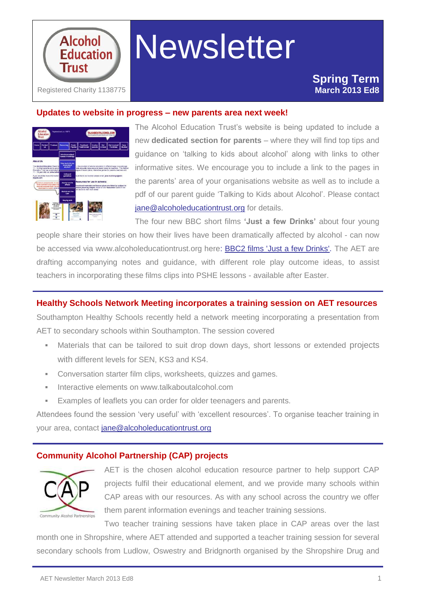

# **Newsletter**

#### **Updates to website in progress – new parents area next week!**



The Alcohol Education Trust's website is being updated to include a new **dedicated section for parents** – where they will find top tips and guidance on 'talking to kids about alcohol' along with links to other informative sites. We encourage you to include a link to the pages in the parents' area of your organisations website as well as to include a pdf of our parent guide 'Talking to Kids about Alcohol'. Please contact [jane@alcoholeducationtrust.org](mailto:jane@alcoholeducationtrust.org) for details.

The four new BBC short films **'Just a few Drinks'** about four young

people share their stories on how their lives have been dramatically affected by alcohol - can now be accessed via www.alcoholeducationtrust.org here: **BBC2 films 'Just a few Drinks'**. The AET are drafting accompanying notes and guidance, with different role play outcome ideas, to assist teachers in incorporating these films clips into PSHE lessons - available after Easter.

#### **Healthy Schools Network Meeting incorporates a training session on AET resources**

Southampton Healthy Schools recently held a network meeting incorporating a presentation from AET to secondary schools within Southampton. The session covered

- Materials that can be tailored to suit drop down days, short lessons or extended projects with different levels for SEN, KS3 and KS4.
- Conversation starter film clips, worksheets, quizzes and games.
- Interactive elements on www.talkaboutalcohol.com
- Examples of leaflets you can order for older teenagers and parents.

Attendees found the session 'very useful' with 'excellent resources'. To organise teacher training in your area, contact [jane@alcoholeducationtrust.org](mailto:jane@alcoholeducationtrust.org)

#### **Community Alcohol Partnership (CAP) projects**



AET is the chosen alcohol education resource partner to help support CAP projects fulfil their educational element, and we provide many schools within CAP areas with our resources. As with any school across the country we offer them parent information evenings and teacher training sessions.

Two teacher training sessions have taken place in CAP areas over the last month one in Shropshire, where AET attended and supported a teacher training session for several secondary schools from Ludlow, Oswestry and Bridgnorth organised by the Shropshire Drug and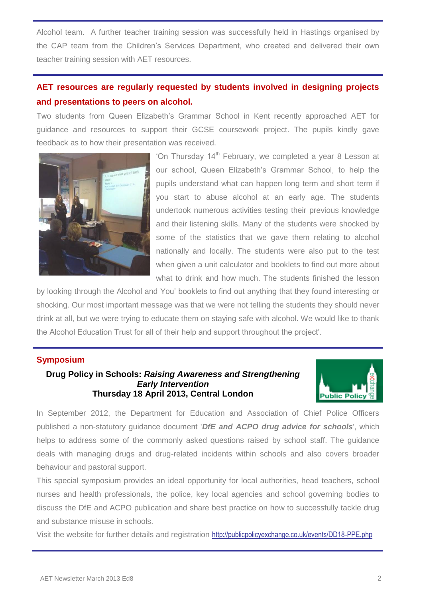Alcohol team. A further teacher training session was successfully held in Hastings organised by the CAP team from the Children's Services Department, who created and delivered their own teacher training session with AET resources.

### **AET resources are regularly requested by students involved in designing projects and presentations to peers on alcohol.**

Two students from Queen Elizabeth's Grammar School in Kent recently approached AET for guidance and resources to support their GCSE coursework project. The pupils kindly gave feedback as to how their presentation was received.



'On Thursday 14<sup>th</sup> February, we completed a year 8 Lesson at our school, Queen Elizabeth's Grammar School, to help the pupils understand what can happen long term and short term if you start to abuse alcohol at an early age. The students undertook numerous activities testing their previous knowledge and their listening skills. Many of the students were shocked by some of the statistics that we gave them relating to alcohol nationally and locally. The students were also put to the test when given a unit calculator and booklets to find out more about what to drink and how much. The students finished the lesson

by looking through the Alcohol and You' booklets to find out anything that they found interesting or shocking. Our most important message was that we were not telling the students they should never drink at all, but we were trying to educate them on staying safe with alcohol. We would like to thank the Alcohol Education Trust for all of their help and support throughout the project'.

#### **Symposium**

#### **Drug Policy in Schools:** *Raising Awareness and Strengthening Early Intervention* **Thursday 18 April 2013, Central London**



In September 2012, the Department for Education and Association of Chief Police Officers published a non-statutory guidance document '*DfE and ACPO drug advice for schools*', which helps to address some of the commonly asked questions raised by school staff. The guidance deals with managing drugs and drug-related incidents within schools and also covers broader behaviour and pastoral support.

This special symposium provides an ideal opportunity for local authorities, head teachers, school nurses and health professionals, the police, key local agencies and school governing bodies to discuss the DfE and ACPO publication and share best practice on how to successfully tackle drug and substance misuse in schools.

Visit the website for further details and registration <http://publicpolicyexchange.co.uk/events/DD18-PPE.php>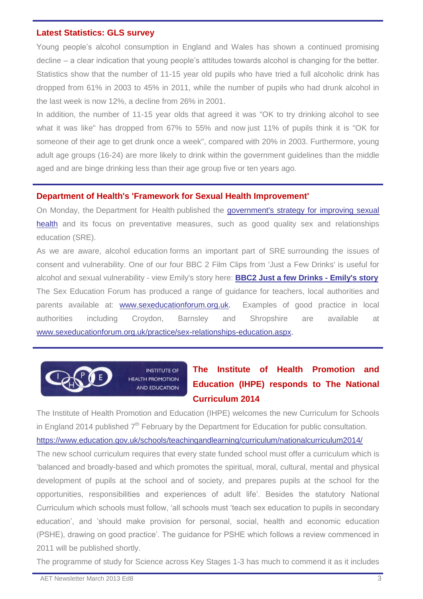#### **Latest Statistics: GLS survey**

Young people's alcohol consumption in England and Wales has shown a continued promising decline – a clear indication that young people's attitudes towards alcohol is changing for the better. Statistics show that the number of 11-15 year old pupils who have tried a full alcoholic drink has dropped from 61% in 2003 to 45% in 2011, while the number of pupils who had drunk alcohol in the last week is now 12%, a decline from 26% in 2001.

In addition, the number of 11-15 year olds that agreed it was "OK to try drinking alcohol to see what it was like" has dropped from 67% to 55% and now just 11% of pupils think it is "OK for someone of their age to get drunk once a week", compared with 20% in 2003. Furthermore, young adult age groups (16-24) are more likely to drink within the government guidelines than the middle aged and are binge drinking less than their age group five or ten years ago.

#### **Department of Health's 'Framework for Sexual Health Improvement'**

On Monday, the Department for Health published the [government's strategy for improving sexual](blocked::http://htmlemail.ncb.org.uk/link.aspx?linkclick=685&linkid=1&campaignid=4599)  [health](blocked::http://htmlemail.ncb.org.uk/link.aspx?linkclick=685&linkid=1&campaignid=4599) and its focus on preventative measures, such as good quality sex and relationships education (SRE).

As we are aware, alcohol education forms an important part of SRE surrounding the issues of consent and vulnerability. One of our four BBC 2 Film Clips from 'Just a Few Drinks' is useful for alcohol and sexual vulnerability - view Emily's story here: **[BBC2 Just a few Drinks -](http://www.bbc.co.uk/programmes/p015dnr9) Emily's story** The Sex Education Forum has produced a range of guidance for teachers, local authorities and parents available at: [www.sexeducationforum.org.uk.](blocked::http://htmlemail.ncb.org.uk/link.aspx?linkclick=685&linkid=2&campaignid=4599) Examples of good practice in local authorities including Croydon, Barnsley and Shropshire are available at [www.sexeducationforum.org.uk/practice/sex-relationships-education.aspx.](blocked::http://htmlemail.ncb.org.uk/link.aspx?linkclick=685&linkid=3&campaignid=4599)



**INSTITUTE OF HEALTH PROMOTION AND EDUCATION** 

## **The Institute of Health Promotion and Education (IHPE) responds to The National Curriculum 2014**

The Institute of Health Promotion and Education (IHPE) welcomes the new Curriculum for Schools in England 2014 published  $7<sup>th</sup>$  February by the Department for Education for public consultation. <https://www.education.gov.uk/schools/teachingandlearning/curriculum/nationalcurriculum2014/>

The new school curriculum requires that every state funded school must offer a curriculum which is 'balanced and broadly-based and which promotes the spiritual, moral, cultural, mental and physical development of pupils at the school and of society, and prepares pupils at the school for the opportunities, responsibilities and experiences of adult life'. Besides the statutory National Curriculum which schools must follow, 'all schools must 'teach sex education to pupils in secondary education', and 'should make provision for personal, social, health and economic education (PSHE), drawing on good practice'. The guidance for PSHE which follows a review commenced in 2011 will be published shortly.

The programme of study for Science across Key Stages 1-3 has much to commend it as it includes